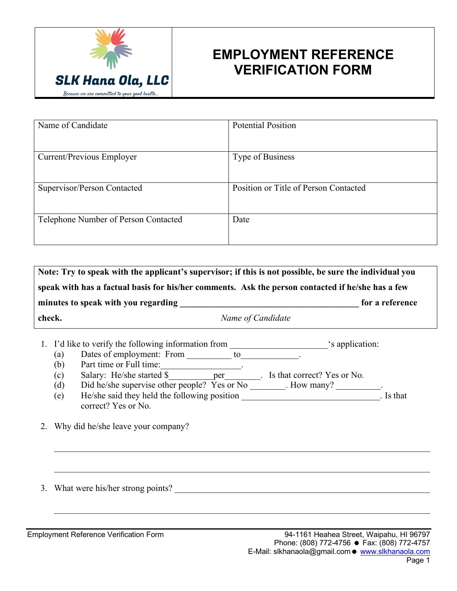

## **EMPLOYMENT REFERENCE VERIFICATION FORM**

| Name of Candidate                    | <b>Potential Position</b>             |
|--------------------------------------|---------------------------------------|
| Current/Previous Employer            | Type of Business                      |
| Supervisor/Person Contacted          | Position or Title of Person Contacted |
| Telephone Number of Person Contacted | Date                                  |
|                                      |                                       |

**Note: Try to speak with the applicant's supervisor; if this is not possible, be sure the individual you speak with has a factual basis for his/her comments. Ask the person contacted if he/she has a few minutes to speak with you regarding \_\_\_\_\_\_\_\_\_\_\_\_\_\_\_\_\_\_\_\_\_\_\_\_\_\_\_\_\_\_\_\_\_\_\_\_\_\_\_\_ for a reference check.** *Name of Candidate*

1. I'd like to verify the following information from example and the subset of sapplication:

- (a) Dates of employment: From  $\overline{t}$  to
- (b) Part time or Full time:
- (c) Salary: He/she started \$\_\_\_\_\_\_\_\_\_\_per\_\_\_\_\_\_\_\_. Is that correct? Yes or No.
- (d) Did he/she supervise other people? Yes or No \_\_\_\_\_\_\_. How many? (e) He/she said they held the following position \_\_\_\_\_\_\_\_\_\_\_\_\_\_\_\_\_\_\_\_\_\_\_\_\_\_\_\_\_\_\_. Is that correct? Yes or No.

 $\mathcal{L}_\mathcal{L} = \{ \mathcal{L}_\mathcal{L} = \{ \mathcal{L}_\mathcal{L} = \{ \mathcal{L}_\mathcal{L} = \{ \mathcal{L}_\mathcal{L} = \{ \mathcal{L}_\mathcal{L} = \{ \mathcal{L}_\mathcal{L} = \{ \mathcal{L}_\mathcal{L} = \{ \mathcal{L}_\mathcal{L} = \{ \mathcal{L}_\mathcal{L} = \{ \mathcal{L}_\mathcal{L} = \{ \mathcal{L}_\mathcal{L} = \{ \mathcal{L}_\mathcal{L} = \{ \mathcal{L}_\mathcal{L} = \{ \mathcal{L}_\mathcal{$ 

 $\mathcal{L}_\mathcal{L} = \{ \mathcal{L}_\mathcal{L} = \{ \mathcal{L}_\mathcal{L} = \{ \mathcal{L}_\mathcal{L} = \{ \mathcal{L}_\mathcal{L} = \{ \mathcal{L}_\mathcal{L} = \{ \mathcal{L}_\mathcal{L} = \{ \mathcal{L}_\mathcal{L} = \{ \mathcal{L}_\mathcal{L} = \{ \mathcal{L}_\mathcal{L} = \{ \mathcal{L}_\mathcal{L} = \{ \mathcal{L}_\mathcal{L} = \{ \mathcal{L}_\mathcal{L} = \{ \mathcal{L}_\mathcal{L} = \{ \mathcal{L}_\mathcal{$ 

 $\mathcal{L}_\mathcal{L} = \{ \mathcal{L}_\mathcal{L} = \{ \mathcal{L}_\mathcal{L} = \{ \mathcal{L}_\mathcal{L} = \{ \mathcal{L}_\mathcal{L} = \{ \mathcal{L}_\mathcal{L} = \{ \mathcal{L}_\mathcal{L} = \{ \mathcal{L}_\mathcal{L} = \{ \mathcal{L}_\mathcal{L} = \{ \mathcal{L}_\mathcal{L} = \{ \mathcal{L}_\mathcal{L} = \{ \mathcal{L}_\mathcal{L} = \{ \mathcal{L}_\mathcal{L} = \{ \mathcal{L}_\mathcal{L} = \{ \mathcal{L}_\mathcal{$ 

2. Why did he/she leave your company?

3. What were his/her strong points?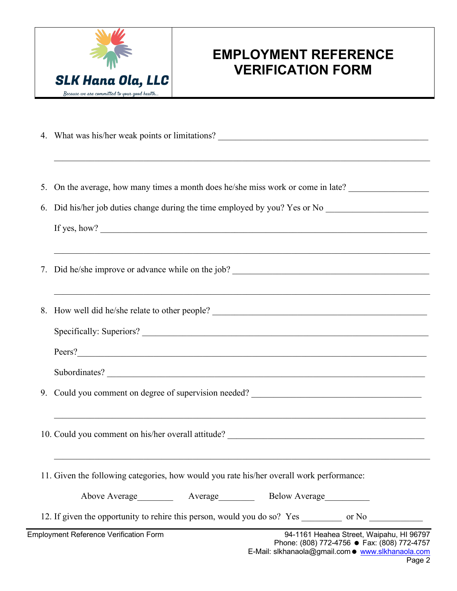

## **EMPLOYMENT REFERENCE VERIFICATION FORM**

 $\mathcal{L}_\mathcal{L} = \{ \mathcal{L}_\mathcal{L} = \{ \mathcal{L}_\mathcal{L} = \{ \mathcal{L}_\mathcal{L} = \{ \mathcal{L}_\mathcal{L} = \{ \mathcal{L}_\mathcal{L} = \{ \mathcal{L}_\mathcal{L} = \{ \mathcal{L}_\mathcal{L} = \{ \mathcal{L}_\mathcal{L} = \{ \mathcal{L}_\mathcal{L} = \{ \mathcal{L}_\mathcal{L} = \{ \mathcal{L}_\mathcal{L} = \{ \mathcal{L}_\mathcal{L} = \{ \mathcal{L}_\mathcal{L} = \{ \mathcal{L}_\mathcal{$ 5. On the average, how many times a month does he/she miss work or come in late? 6. Did his/her job duties change during the time employed by you? Yes or No If yes, how?  $\mathcal{L}_\mathcal{L} = \{ \mathcal{L}_\mathcal{L} = \{ \mathcal{L}_\mathcal{L} = \{ \mathcal{L}_\mathcal{L} = \{ \mathcal{L}_\mathcal{L} = \{ \mathcal{L}_\mathcal{L} = \{ \mathcal{L}_\mathcal{L} = \{ \mathcal{L}_\mathcal{L} = \{ \mathcal{L}_\mathcal{L} = \{ \mathcal{L}_\mathcal{L} = \{ \mathcal{L}_\mathcal{L} = \{ \mathcal{L}_\mathcal{L} = \{ \mathcal{L}_\mathcal{L} = \{ \mathcal{L}_\mathcal{L} = \{ \mathcal{L}_\mathcal{$ 7. Did he/she improve or advance while on the job?  $\mathcal{L}_\mathcal{L} = \{ \mathcal{L}_\mathcal{L} = \{ \mathcal{L}_\mathcal{L} = \{ \mathcal{L}_\mathcal{L} = \{ \mathcal{L}_\mathcal{L} = \{ \mathcal{L}_\mathcal{L} = \{ \mathcal{L}_\mathcal{L} = \{ \mathcal{L}_\mathcal{L} = \{ \mathcal{L}_\mathcal{L} = \{ \mathcal{L}_\mathcal{L} = \{ \mathcal{L}_\mathcal{L} = \{ \mathcal{L}_\mathcal{L} = \{ \mathcal{L}_\mathcal{L} = \{ \mathcal{L}_\mathcal{L} = \{ \mathcal{L}_\mathcal{$ 8. How well did he/she relate to other people? Specifically: Superiors? Peers?\_\_\_\_\_\_\_\_\_\_\_\_\_\_\_\_\_\_\_\_\_\_\_\_\_\_\_\_\_\_\_\_\_\_\_\_\_\_\_\_\_\_\_\_\_\_\_\_\_\_\_\_\_\_\_\_\_\_\_\_\_\_\_\_\_\_\_\_\_\_\_\_\_\_\_\_\_\_ Subordinates? 9. Could you comment on degree of supervision needed? \_\_\_\_\_\_\_\_\_\_\_\_\_\_\_\_\_\_\_\_\_\_\_\_\_\_\_  $\mathcal{L}_\mathcal{L} = \{ \mathcal{L}_\mathcal{L} = \{ \mathcal{L}_\mathcal{L} = \{ \mathcal{L}_\mathcal{L} = \{ \mathcal{L}_\mathcal{L} = \{ \mathcal{L}_\mathcal{L} = \{ \mathcal{L}_\mathcal{L} = \{ \mathcal{L}_\mathcal{L} = \{ \mathcal{L}_\mathcal{L} = \{ \mathcal{L}_\mathcal{L} = \{ \mathcal{L}_\mathcal{L} = \{ \mathcal{L}_\mathcal{L} = \{ \mathcal{L}_\mathcal{L} = \{ \mathcal{L}_\mathcal{L} = \{ \mathcal{L}_\mathcal{$ 10. Could you comment on his/her overall attitude? \_\_\_\_\_\_\_\_\_\_\_\_\_\_\_\_\_\_\_\_\_\_\_\_\_\_\_\_\_\_  $\mathcal{L}_\mathcal{L} = \{ \mathcal{L}_\mathcal{L} = \{ \mathcal{L}_\mathcal{L} = \{ \mathcal{L}_\mathcal{L} = \{ \mathcal{L}_\mathcal{L} = \{ \mathcal{L}_\mathcal{L} = \{ \mathcal{L}_\mathcal{L} = \{ \mathcal{L}_\mathcal{L} = \{ \mathcal{L}_\mathcal{L} = \{ \mathcal{L}_\mathcal{L} = \{ \mathcal{L}_\mathcal{L} = \{ \mathcal{L}_\mathcal{L} = \{ \mathcal{L}_\mathcal{L} = \{ \mathcal{L}_\mathcal{L} = \{ \mathcal{L}_\mathcal{$ 11. Given the following categories, how would you rate his/her overall work performance: Above Average The Average The Below Average 12. If given the opportunity to rehire this person, would you do so? Yes or No  $\alpha$ 

4. What was his/her weak points or limitations?